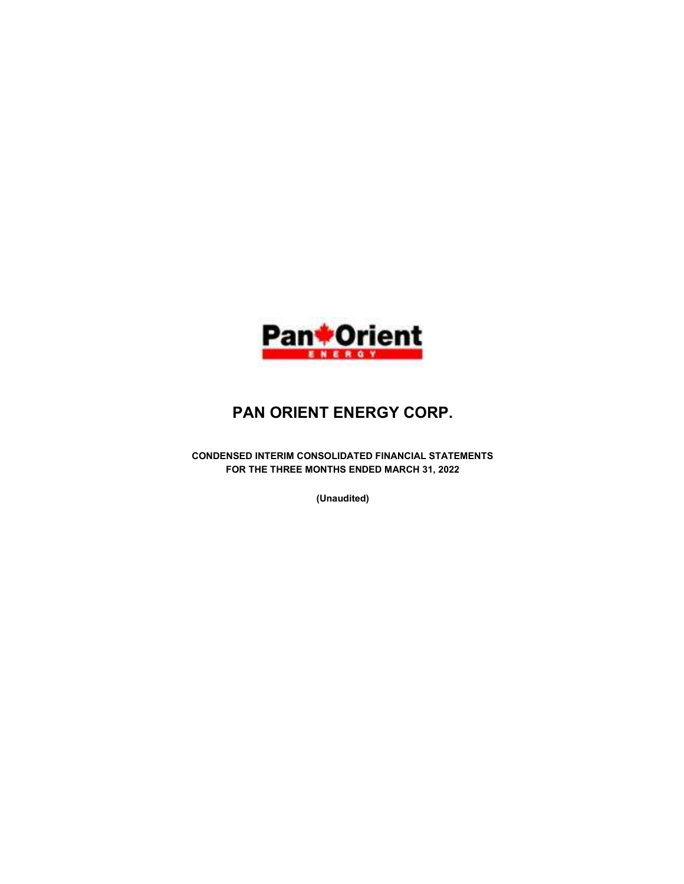

# PAN ORIENT ENERGY CORP.

CONDENSED INTERIM CONSOLIDATED FINANCIAL STATEMENTS FOR THE THREE MONTHS ENDED MARCH 31, 2022

(Unaudited)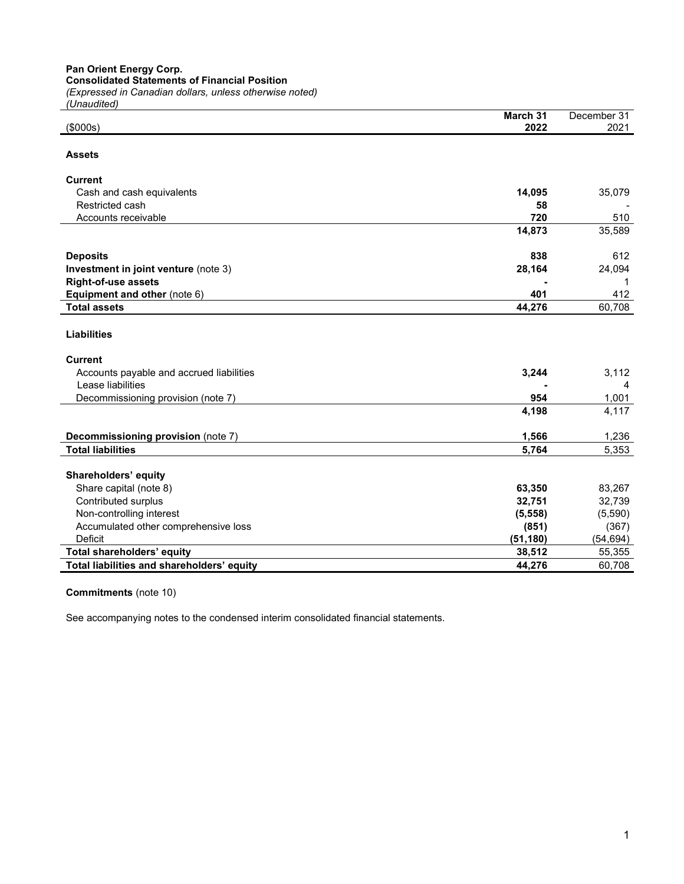Pan Orient Energy Corp.

Consolidated Statements of Financial Position

(Expressed in Canadian dollars, unless otherwise noted)

| (Unaudited)                                |                  |                     |
|--------------------------------------------|------------------|---------------------|
| (\$000s)                                   | March 31<br>2022 | December 31<br>2021 |
|                                            |                  |                     |
| <b>Assets</b>                              |                  |                     |
| Current                                    |                  |                     |
| Cash and cash equivalents                  | 14,095           | 35,079              |
| Restricted cash                            | 58               |                     |
| Accounts receivable                        | 720              | 510                 |
|                                            | 14,873           | 35,589              |
| <b>Deposits</b>                            | 838              | 612                 |
| Investment in joint venture (note 3)       | 28,164           | 24,094              |
| <b>Right-of-use assets</b>                 |                  | 1                   |
| Equipment and other (note 6)               | 401              | 412                 |
| <b>Total assets</b>                        | 44,276           | 60,708              |
| <b>Liabilities</b><br><b>Current</b>       |                  |                     |
| Accounts payable and accrued liabilities   | 3,244            | 3,112               |
| Lease liabilities                          |                  | 4                   |
| Decommissioning provision (note 7)         | 954              | 1,001               |
|                                            | 4,198            | 4,117               |
| Decommissioning provision (note 7)         | 1,566            | 1,236               |
| <b>Total liabilities</b>                   | 5,764            | 5,353               |
| Shareholders' equity                       |                  |                     |
| Share capital (note 8)                     | 63,350           | 83,267              |
| Contributed surplus                        | 32,751           | 32,739              |
| Non-controlling interest                   | (5, 558)         | (5,590)             |
| Accumulated other comprehensive loss       | (851)            | (367)               |
| Deficit                                    | (51, 180)        | (54, 694)           |
| Total shareholders' equity                 | 38,512           | 55,355              |
| Total liabilities and shareholders' equity | 44,276           | 60,708              |
|                                            |                  |                     |

# Commitments (note 10)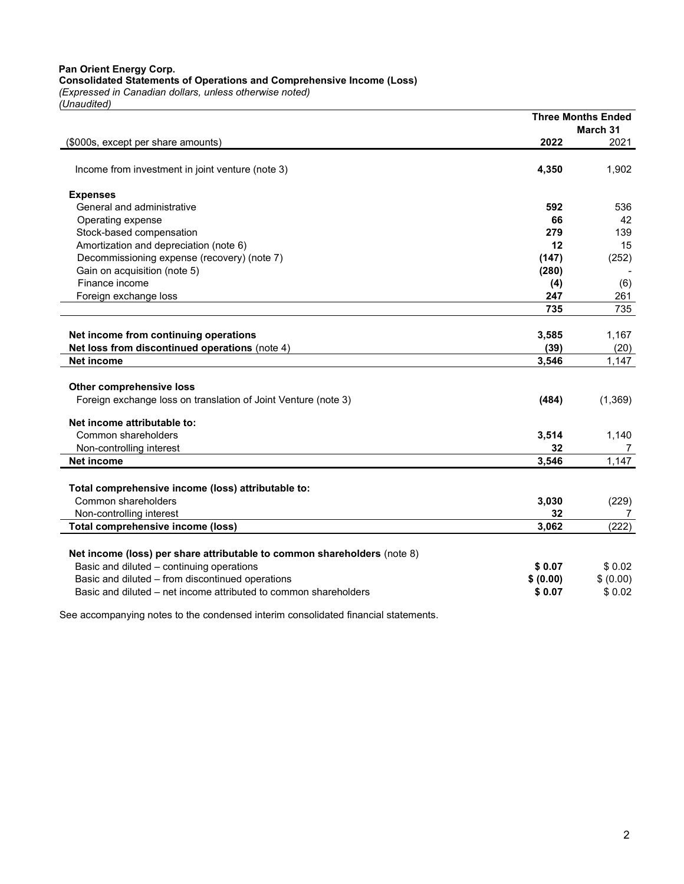Pan Orient Energy Corp. Consolidated Statements of Operations and Comprehensive Income (Loss)

(Expressed in Canadian dollars, unless otherwise noted) (Unaudited)

|                                                                          |           | <b>Three Months Ended</b> |
|--------------------------------------------------------------------------|-----------|---------------------------|
|                                                                          |           | March 31                  |
| (\$000s, except per share amounts)                                       | 2022      | 2021                      |
|                                                                          |           |                           |
| Income from investment in joint venture (note 3)                         | 4,350     | 1,902                     |
| <b>Expenses</b>                                                          |           |                           |
| General and administrative                                               | 592       | 536                       |
| Operating expense                                                        | 66        | 42                        |
| Stock-based compensation                                                 | 279       | 139                       |
| Amortization and depreciation (note 6)                                   | 12        | 15                        |
| Decommissioning expense (recovery) (note 7)                              | (147)     | (252)                     |
| Gain on acquisition (note 5)                                             | (280)     |                           |
| Finance income                                                           | (4)       | (6)                       |
| Foreign exchange loss                                                    | 247       | 261                       |
|                                                                          | 735       | 735                       |
|                                                                          |           |                           |
| Net income from continuing operations                                    | 3,585     | 1,167                     |
| Net loss from discontinued operations (note 4)                           | (39)      | (20)                      |
| <b>Net income</b>                                                        | 3.546     | 1.147                     |
|                                                                          |           |                           |
| Other comprehensive loss                                                 |           |                           |
| Foreign exchange loss on translation of Joint Venture (note 3)           | (484)     | (1, 369)                  |
| Net income attributable to:                                              |           |                           |
| Common shareholders                                                      | 3,514     | 1,140                     |
| Non-controlling interest                                                 | 32        | 7                         |
| <b>Net income</b>                                                        | 3,546     | 1,147                     |
|                                                                          |           |                           |
| Total comprehensive income (loss) attributable to:                       |           |                           |
| Common shareholders                                                      | 3,030     | (229)                     |
| Non-controlling interest                                                 | 32        | 7                         |
| Total comprehensive income (loss)                                        | 3,062     | (222)                     |
|                                                                          |           |                           |
| Net income (loss) per share attributable to common shareholders (note 8) |           |                           |
| Basic and diluted - continuing operations                                | \$0.07    | \$0.02                    |
| Basic and diluted - from discontinued operations                         | \$ (0.00) | \$ (0.00)                 |
| Basic and diluted – net income attributed to common shareholders         | \$0.07    | \$0.02                    |
|                                                                          |           |                           |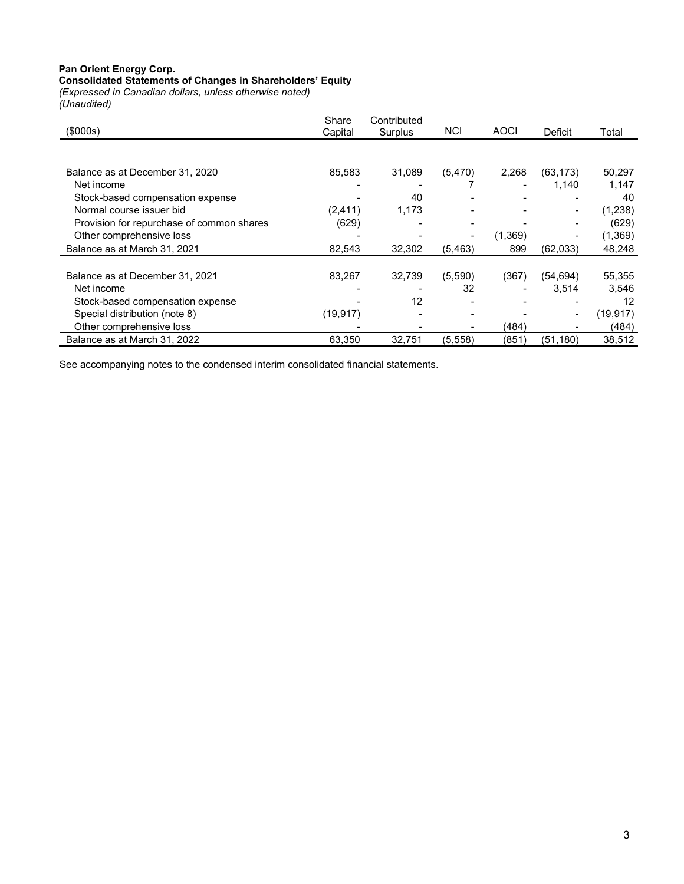#### Pan Orient Energy Corp.

#### Consolidated Statements of Changes in Shareholders' Equity

(Expressed in Canadian dollars, unless otherwise noted) (Unaudited)

| (\$000s)                                  | Share<br>Capital | Contributed<br>Surplus | <b>NCI</b>     | <b>AOCI</b> | Deficit   | Total    |
|-------------------------------------------|------------------|------------------------|----------------|-------------|-----------|----------|
|                                           |                  |                        |                |             |           |          |
| Balance as at December 31, 2020           | 85,583           | 31,089                 | (5, 470)       | 2,268       | (63, 173) | 50,297   |
| Net income                                |                  |                        |                |             | 1,140     | 1,147    |
| Stock-based compensation expense          |                  | 40                     |                |             |           | 40       |
| Normal course issuer bid                  | (2, 411)         | 1,173                  |                |             |           | (1, 238) |
| Provision for repurchase of common shares | (629)            |                        |                |             |           | (629)    |
| Other comprehensive loss                  |                  |                        |                | (1,369)     |           | (1,369)  |
| Balance as at March 31, 2021              | 82,543           | 32,302                 | (5, 463)       | 899         | (62,033)  | 48,248   |
|                                           |                  |                        |                |             |           |          |
| Balance as at December 31, 2021           | 83,267           | 32,739                 | (5,590)        | (367)       | (54, 694) | 55,355   |
| Net income                                |                  |                        | 32             |             | 3,514     | 3,546    |
| Stock-based compensation expense          |                  | 12                     |                |             |           | 12       |
| Special distribution (note 8)             | (19, 917)        |                        | $\blacksquare$ |             |           | (19,917) |
| Other comprehensive loss                  |                  |                        |                | (484)       |           | (484)    |
| Balance as at March 31, 2022              | 63,350           | 32,751                 | (5,558)        | (851)       | (51, 180) | 38,512   |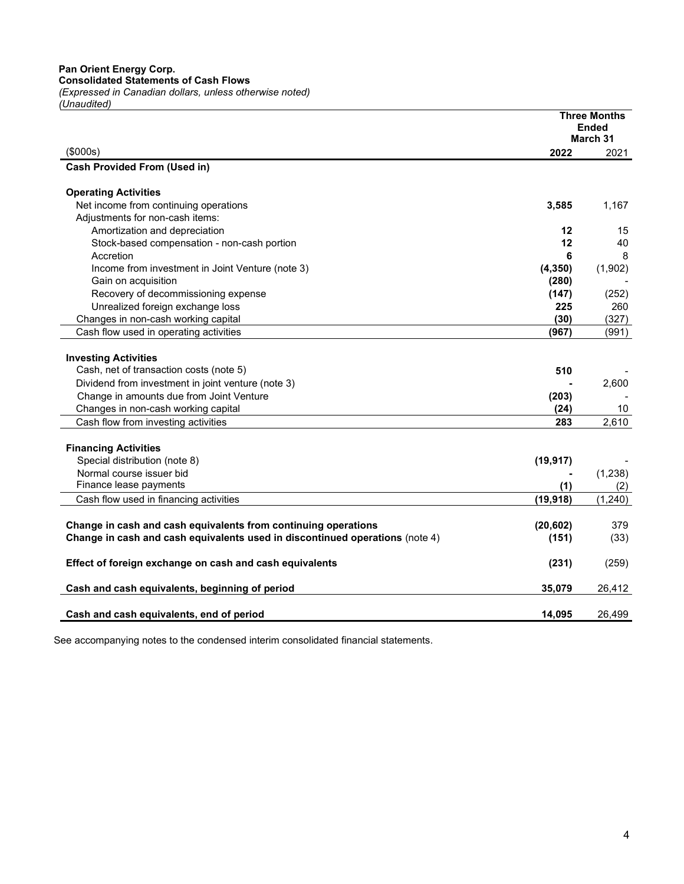|                                                                              |           | <b>Three Months</b><br><b>Ended</b> |
|------------------------------------------------------------------------------|-----------|-------------------------------------|
|                                                                              |           | March 31                            |
| (\$000s)                                                                     | 2022      | 2021                                |
| <b>Cash Provided From (Used in)</b>                                          |           |                                     |
|                                                                              |           |                                     |
| <b>Operating Activities</b>                                                  |           |                                     |
| Net income from continuing operations                                        | 3,585     | 1,167                               |
| Adjustments for non-cash items:                                              |           |                                     |
| Amortization and depreciation                                                | 12        | 15                                  |
| Stock-based compensation - non-cash portion                                  | 12        | 40                                  |
| Accretion                                                                    | 6         | 8                                   |
| Income from investment in Joint Venture (note 3)                             | (4, 350)  | (1,902)                             |
| Gain on acquisition                                                          | (280)     |                                     |
| Recovery of decommissioning expense                                          | (147)     | (252)                               |
| Unrealized foreign exchange loss                                             | 225       | 260                                 |
| Changes in non-cash working capital                                          | (30)      | (327)                               |
| Cash flow used in operating activities                                       | (967)     | (991)                               |
|                                                                              |           |                                     |
| <b>Investing Activities</b>                                                  |           |                                     |
| Cash, net of transaction costs (note 5)                                      | 510       |                                     |
| Dividend from investment in joint venture (note 3)                           |           | 2,600                               |
| Change in amounts due from Joint Venture                                     | (203)     |                                     |
| Changes in non-cash working capital                                          | (24)      | 10                                  |
| Cash flow from investing activities                                          | 283       | 2,610                               |
|                                                                              |           |                                     |
| <b>Financing Activities</b>                                                  |           |                                     |
| Special distribution (note 8)                                                | (19, 917) |                                     |
| Normal course issuer bid                                                     |           | (1,238)                             |
| Finance lease payments                                                       | (1)       | (2)                                 |
| Cash flow used in financing activities                                       | (19, 918) | (1, 240)                            |
|                                                                              |           |                                     |
| Change in cash and cash equivalents from continuing operations               | (20, 602) | 379                                 |
| Change in cash and cash equivalents used in discontinued operations (note 4) | (151)     | (33)                                |
|                                                                              |           |                                     |
| Effect of foreign exchange on cash and cash equivalents                      | (231)     | (259)                               |
|                                                                              |           |                                     |
| Cash and cash equivalents, beginning of period                               | 35,079    | 26,412                              |
|                                                                              |           |                                     |
| Cash and cash equivalents, end of period                                     | 14,095    | 26,499                              |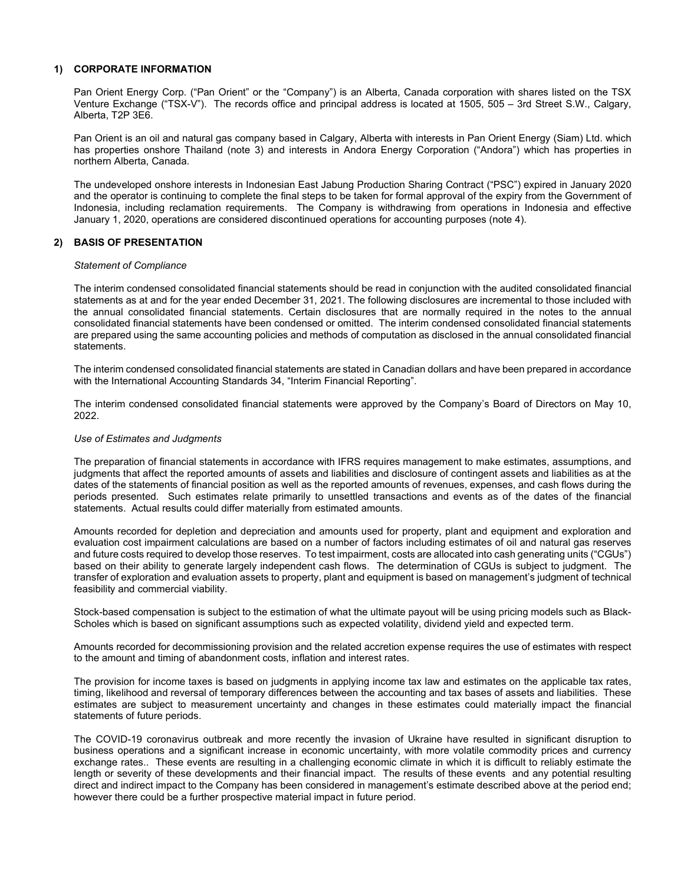## 1) CORPORATE INFORMATION

Pan Orient Energy Corp. ("Pan Orient" or the "Company") is an Alberta, Canada corporation with shares listed on the TSX Venture Exchange ("TSX-V"). The records office and principal address is located at 1505, 505 – 3rd Street S.W., Calgary, Alberta, T2P 3E6.

Pan Orient is an oil and natural gas company based in Calgary, Alberta with interests in Pan Orient Energy (Siam) Ltd. which has properties onshore Thailand (note 3) and interests in Andora Energy Corporation ("Andora") which has properties in northern Alberta, Canada.

The undeveloped onshore interests in Indonesian East Jabung Production Sharing Contract ("PSC") expired in January 2020 and the operator is continuing to complete the final steps to be taken for formal approval of the expiry from the Government of Indonesia, including reclamation requirements. The Company is withdrawing from operations in Indonesia and effective January 1, 2020, operations are considered discontinued operations for accounting purposes (note 4).

#### 2) BASIS OF PRESENTATION

#### Statement of Compliance

The interim condensed consolidated financial statements should be read in conjunction with the audited consolidated financial statements as at and for the year ended December 31, 2021. The following disclosures are incremental to those included with the annual consolidated financial statements. Certain disclosures that are normally required in the notes to the annual consolidated financial statements have been condensed or omitted. The interim condensed consolidated financial statements are prepared using the same accounting policies and methods of computation as disclosed in the annual consolidated financial statements.

The interim condensed consolidated financial statements are stated in Canadian dollars and have been prepared in accordance with the International Accounting Standards 34, "Interim Financial Reporting".

The interim condensed consolidated financial statements were approved by the Company's Board of Directors on May 10, 2022.

#### Use of Estimates and Judgments

The preparation of financial statements in accordance with IFRS requires management to make estimates, assumptions, and judgments that affect the reported amounts of assets and liabilities and disclosure of contingent assets and liabilities as at the dates of the statements of financial position as well as the reported amounts of revenues, expenses, and cash flows during the periods presented. Such estimates relate primarily to unsettled transactions and events as of the dates of the financial statements. Actual results could differ materially from estimated amounts.

Amounts recorded for depletion and depreciation and amounts used for property, plant and equipment and exploration and evaluation cost impairment calculations are based on a number of factors including estimates of oil and natural gas reserves and future costs required to develop those reserves. To test impairment, costs are allocated into cash generating units ("CGUs") based on their ability to generate largely independent cash flows. The determination of CGUs is subject to judgment. The transfer of exploration and evaluation assets to property, plant and equipment is based on management's judgment of technical feasibility and commercial viability.

Stock-based compensation is subject to the estimation of what the ultimate payout will be using pricing models such as Black-Scholes which is based on significant assumptions such as expected volatility, dividend yield and expected term.

Amounts recorded for decommissioning provision and the related accretion expense requires the use of estimates with respect to the amount and timing of abandonment costs, inflation and interest rates.

The provision for income taxes is based on judgments in applying income tax law and estimates on the applicable tax rates, timing, likelihood and reversal of temporary differences between the accounting and tax bases of assets and liabilities. These estimates are subject to measurement uncertainty and changes in these estimates could materially impact the financial statements of future periods.

The COVID-19 coronavirus outbreak and more recently the invasion of Ukraine have resulted in significant disruption to business operations and a significant increase in economic uncertainty, with more volatile commodity prices and currency exchange rates.. These events are resulting in a challenging economic climate in which it is difficult to reliably estimate the length or severity of these developments and their financial impact. The results of these events and any potential resulting direct and indirect impact to the Company has been considered in management's estimate described above at the period end; however there could be a further prospective material impact in future period.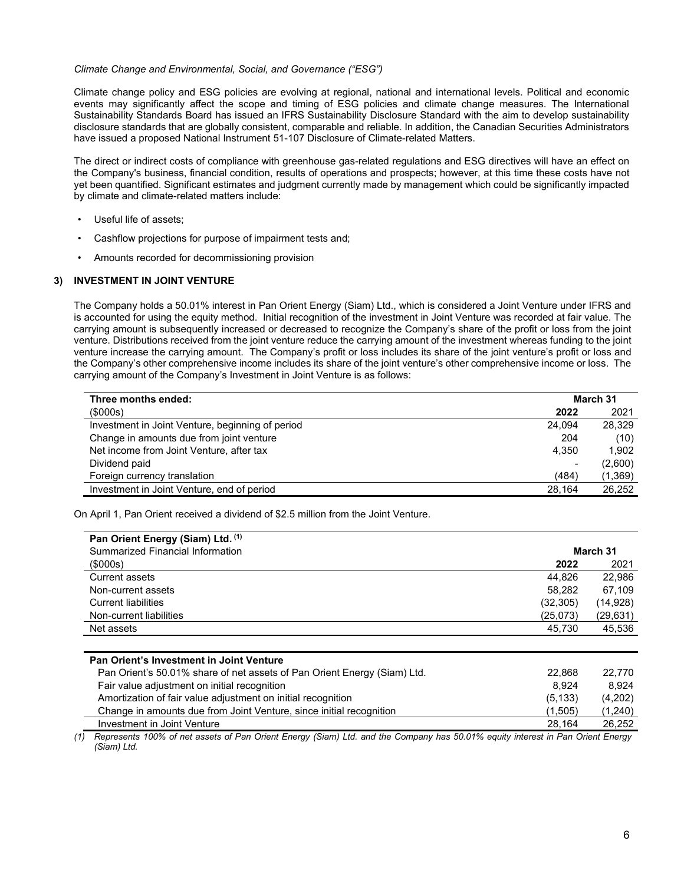#### Climate Change and Environmental, Social, and Governance ("ESG")

Climate change policy and ESG policies are evolving at regional, national and international levels. Political and economic events may significantly affect the scope and timing of ESG policies and climate change measures. The International Sustainability Standards Board has issued an IFRS Sustainability Disclosure Standard with the aim to develop sustainability disclosure standards that are globally consistent, comparable and reliable. In addition, the Canadian Securities Administrators have issued a proposed National Instrument 51-107 Disclosure of Climate-related Matters.

The direct or indirect costs of compliance with greenhouse gas-related regulations and ESG directives will have an effect on the Company's business, financial condition, results of operations and prospects; however, at this time these costs have not yet been quantified. Significant estimates and judgment currently made by management which could be significantly impacted by climate and climate-related matters include:

- Useful life of assets;
- Cashflow projections for purpose of impairment tests and;
- Amounts recorded for decommissioning provision

## 3) INVESTMENT IN JOINT VENTURE

The Company holds a 50.01% interest in Pan Orient Energy (Siam) Ltd., which is considered a Joint Venture under IFRS and is accounted for using the equity method. Initial recognition of the investment in Joint Venture was recorded at fair value. The carrying amount is subsequently increased or decreased to recognize the Company's share of the profit or loss from the joint venture. Distributions received from the joint venture reduce the carrying amount of the investment whereas funding to the joint venture increase the carrying amount. The Company's profit or loss includes its share of the joint venture's profit or loss and the Company's other comprehensive income includes its share of the joint venture's other comprehensive income or loss. The carrying amount of the Company's Investment in Joint Venture is as follows:

| Three months ended:                              | March 31                 |         |
|--------------------------------------------------|--------------------------|---------|
| (\$000s)                                         | 2022                     | 2021    |
| Investment in Joint Venture, beginning of period | 24.094                   | 28,329  |
| Change in amounts due from joint venture         | 204                      | (10)    |
| Net income from Joint Venture, after tax         | 4,350                    | 1.902   |
| Dividend paid                                    | $\overline{\phantom{0}}$ | (2,600) |
| Foreign currency translation                     | (484)                    | (1,369) |
| Investment in Joint Venture, end of period       | 28,164                   | 26,252  |

On April 1, Pan Orient received a dividend of \$2.5 million from the Joint Venture.

| Pan Orient Energy (Siam) Ltd. (1)<br>Summarized Financial Information |           | March 31  |
|-----------------------------------------------------------------------|-----------|-----------|
| (\$000s)                                                              | 2022      | 2021      |
| Current assets                                                        | 44.826    | 22.986    |
| Non-current assets                                                    | 58.282    | 67.109    |
| <b>Current liabilities</b>                                            | (32, 305) | (14, 928) |
| Non-current liabilities                                               | (25,073)  | (29, 631) |
| Net assets                                                            | 45,730    | 45,536    |
|                                                                       |           |           |

| Pan Orient's Investment in Joint Venture                                 |          |         |
|--------------------------------------------------------------------------|----------|---------|
| Pan Orient's 50.01% share of net assets of Pan Orient Energy (Siam) Ltd. | 22.868   | 22.770  |
| Fair value adjustment on initial recognition                             | 8.924    | 8.924   |
| Amortization of fair value adjustment on initial recognition             | (5, 133) | (4,202) |
| Change in amounts due from Joint Venture, since initial recognition      | (1.505)  | (1,240) |
| Investment in Joint Venture                                              | 28.164   | 26.252  |

(1) Represents 100% of net assets of Pan Orient Energy (Siam) Ltd. and the Company has 50.01% equity interest in Pan Orient Energy (Siam) Ltd.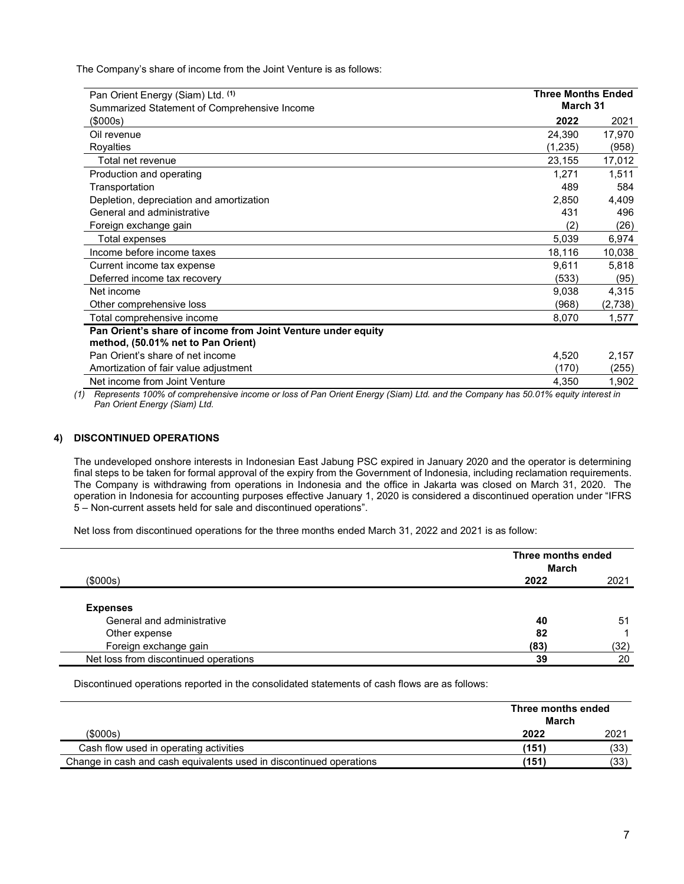The Company's share of income from the Joint Venture is as follows:

| Pan Orient Energy (Siam) Ltd. (1)<br>Summarized Statement of Comprehensive Income | <b>Three Months Ended</b><br>March 31 |         |
|-----------------------------------------------------------------------------------|---------------------------------------|---------|
| (\$000s)                                                                          | 2022                                  | 2021    |
| Oil revenue                                                                       | 24,390                                | 17,970  |
| Royalties                                                                         | (1,235)                               | (958)   |
| Total net revenue                                                                 | 23,155                                | 17,012  |
| Production and operating                                                          | 1,271                                 | 1,511   |
| Transportation                                                                    | 489                                   | 584     |
| Depletion, depreciation and amortization                                          | 2,850                                 | 4,409   |
| General and administrative                                                        | 431                                   | 496     |
| Foreign exchange gain                                                             | (2)                                   | (26)    |
| Total expenses                                                                    | 5,039                                 | 6,974   |
| Income before income taxes                                                        | 18,116                                | 10,038  |
| Current income tax expense                                                        | 9,611                                 | 5,818   |
| Deferred income tax recovery                                                      | (533)                                 | (95)    |
| Net income                                                                        | 9,038                                 | 4,315   |
| Other comprehensive loss                                                          | (968)                                 | (2,738) |
| Total comprehensive income                                                        | 8,070                                 | 1,577   |
| Pan Orient's share of income from Joint Venture under equity                      |                                       |         |
| method, (50.01% net to Pan Orient)                                                |                                       |         |
| Pan Orient's share of net income                                                  | 4,520                                 | 2,157   |
| Amortization of fair value adjustment                                             | (170)                                 | (255)   |
| Net income from Joint Venture                                                     | 4,350                                 | 1,902   |

(1) Represents 100% of comprehensive income or loss of Pan Orient Energy (Siam) Ltd. and the Company has 50.01% equity interest in Pan Orient Energy (Siam) Ltd.

# 4) DISCONTINUED OPERATIONS

The undeveloped onshore interests in Indonesian East Jabung PSC expired in January 2020 and the operator is determining final steps to be taken for formal approval of the expiry from the Government of Indonesia, including reclamation requirements. The Company is withdrawing from operations in Indonesia and the office in Jakarta was closed on March 31, 2020. The operation in Indonesia for accounting purposes effective January 1, 2020 is considered a discontinued operation under "IFRS 5 – Non-current assets held for sale and discontinued operations".

Net loss from discontinued operations for the three months ended March 31, 2022 and 2021 is as follow:

|                                       |      | Three months ended<br>March |  |
|---------------------------------------|------|-----------------------------|--|
| (\$000s)                              | 2022 | 2021                        |  |
| <b>Expenses</b>                       |      |                             |  |
| General and administrative            | 40   | 51                          |  |
| Other expense                         | 82   |                             |  |
| Foreign exchange gain                 | (83) | (32)                        |  |
| Net loss from discontinued operations | 39   | 20                          |  |

Discontinued operations reported in the consolidated statements of cash flows are as follows:

|                                                                     | Three months ended<br>March |      |
|---------------------------------------------------------------------|-----------------------------|------|
| (\$000s)                                                            | 2022                        | 2021 |
| Cash flow used in operating activities                              | (151)                       | (33) |
| Change in cash and cash equivalents used in discontinued operations | (151)                       | (33) |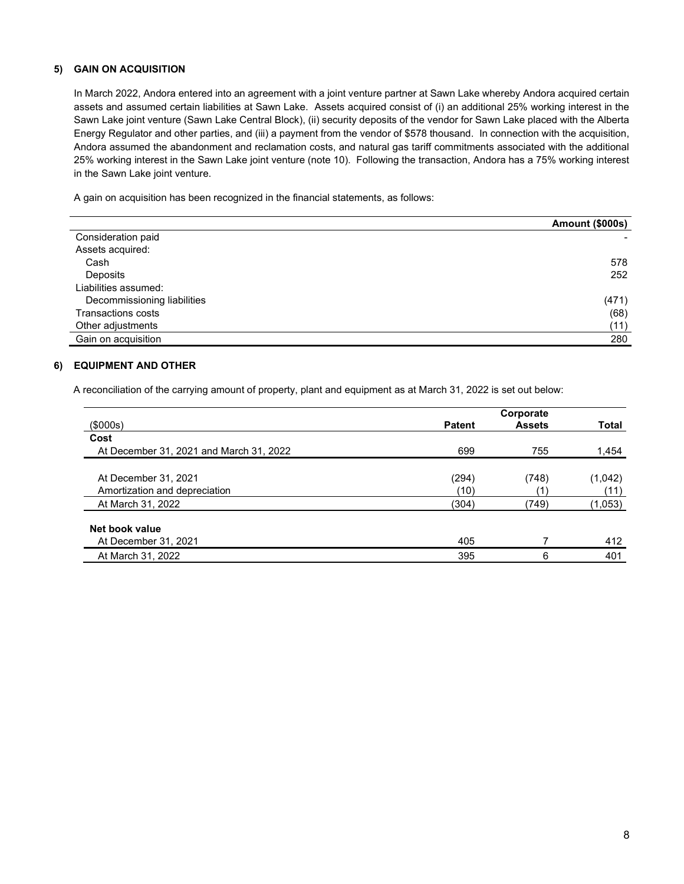# 5) GAIN ON ACQUISITION

In March 2022, Andora entered into an agreement with a joint venture partner at Sawn Lake whereby Andora acquired certain assets and assumed certain liabilities at Sawn Lake. Assets acquired consist of (i) an additional 25% working interest in the Sawn Lake joint venture (Sawn Lake Central Block), (ii) security deposits of the vendor for Sawn Lake placed with the Alberta Energy Regulator and other parties, and (iii) a payment from the vendor of \$578 thousand. In connection with the acquisition, Andora assumed the abandonment and reclamation costs, and natural gas tariff commitments associated with the additional 25% working interest in the Sawn Lake joint venture (note 10). Following the transaction, Andora has a 75% working interest in the Sawn Lake joint venture.

A gain on acquisition has been recognized in the financial statements, as follows:

|                             | <b>Amount (\$000s)</b> |
|-----------------------------|------------------------|
| Consideration paid          |                        |
| Assets acquired:            |                        |
| Cash                        | 578                    |
| Deposits                    | 252                    |
| Liabilities assumed:        |                        |
| Decommissioning liabilities | (471)                  |
| Transactions costs          | (68)                   |
| Other adjustments           | (11)                   |
| Gain on acquisition         | 280                    |

# 6) EQUIPMENT AND OTHER

A reconciliation of the carrying amount of property, plant and equipment as at March 31, 2022 is set out below:

|                                         |               | Corporate     |              |
|-----------------------------------------|---------------|---------------|--------------|
| (\$000s)                                | <b>Patent</b> | <b>Assets</b> | <b>Total</b> |
| Cost                                    |               |               |              |
| At December 31, 2021 and March 31, 2022 | 699           | 755           | 1,454        |
|                                         |               |               |              |
| At December 31, 2021                    | (294)         | (748)         | (1,042)      |
| Amortization and depreciation           | (10)          |               | (11)         |
| At March 31, 2022                       | (304)         | (749)         | (1,053)      |
| Net book value                          |               |               |              |
|                                         |               |               |              |
| At December 31, 2021                    | 405           |               | 412          |
| At March 31, 2022                       | 395           | 6             | 401          |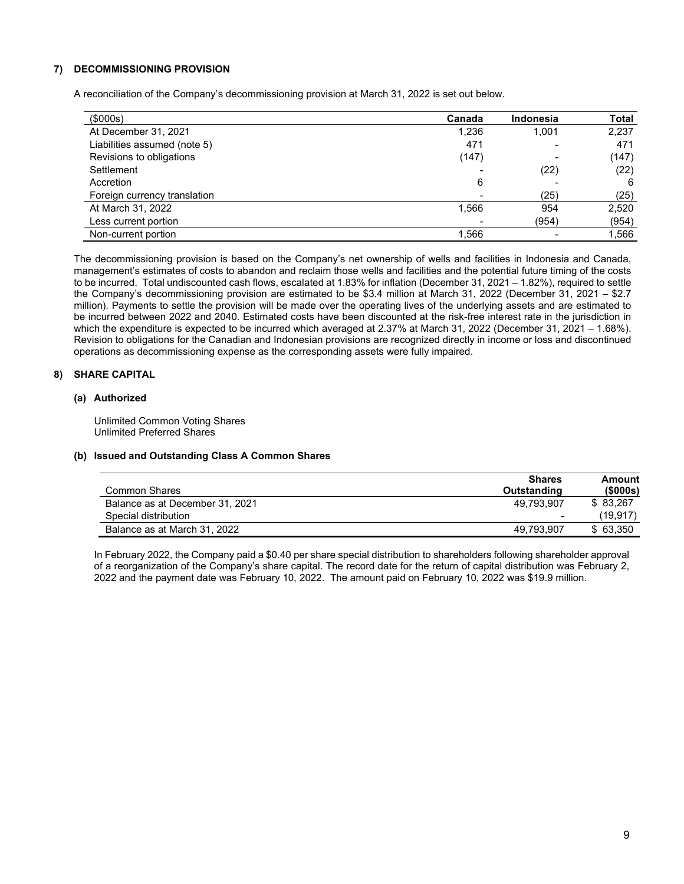# 7) DECOMMISSIONING PROVISION

A reconciliation of the Company's decommissioning provision at March 31, 2022 is set out below.

| $($ \$000s $)$               | Canada | <b>Indonesia</b> | <b>Total</b> |
|------------------------------|--------|------------------|--------------|
| At December 31, 2021         | 1,236  | 1,001            | 2,237        |
| Liabilities assumed (note 5) | 471    |                  | 471          |
| Revisions to obligations     | (147)  |                  | (147)        |
| Settlement                   |        | (22)             | (22)         |
| Accretion                    | 6      |                  | -6           |
| Foreign currency translation |        | (25)             | (25)         |
| At March 31, 2022            | 1,566  | 954              | 2,520        |
| Less current portion         |        | (954)            | (954)        |
| Non-current portion          | 1.566  |                  | 1,566        |

The decommissioning provision is based on the Company's net ownership of wells and facilities in Indonesia and Canada, management's estimates of costs to abandon and reclaim those wells and facilities and the potential future timing of the costs to be incurred. Total undiscounted cash flows, escalated at 1.83% for inflation (December 31, 2021 – 1.82%), required to settle the Company's decommissioning provision are estimated to be \$3.4 million at March 31, 2022 (December 31, 2021 – \$2.7 million). Payments to settle the provision will be made over the operating lives of the underlying assets and are estimated to be incurred between 2022 and 2040. Estimated costs have been discounted at the risk-free interest rate in the jurisdiction in which the expenditure is expected to be incurred which averaged at 2.37% at March 31, 2022 (December 31, 2021 – 1.68%). Revision to obligations for the Canadian and Indonesian provisions are recognized directly in income or loss and discontinued operations as decommissioning expense as the corresponding assets were fully impaired.

## 8) SHARE CAPITAL

## (a) Authorized

Unlimited Common Voting Shares Unlimited Preferred Shares

# (b) Issued and Outstanding Class A Common Shares

|                                 | <b>Shares</b>            | Amount         |
|---------------------------------|--------------------------|----------------|
| Common Shares                   | Outstanding              | $($ \$000s $)$ |
| Balance as at December 31, 2021 | 49.793.907               | \$ 83,267      |
| Special distribution            | $\overline{\phantom{0}}$ | (19, 917)      |
| Balance as at March 31, 2022    | 49,793,907               | \$63,350       |

In February 2022, the Company paid a \$0.40 per share special distribution to shareholders following shareholder approval of a reorganization of the Company's share capital. The record date for the return of capital distribution was February 2, 2022 and the payment date was February 10, 2022. The amount paid on February 10, 2022 was \$19.9 million.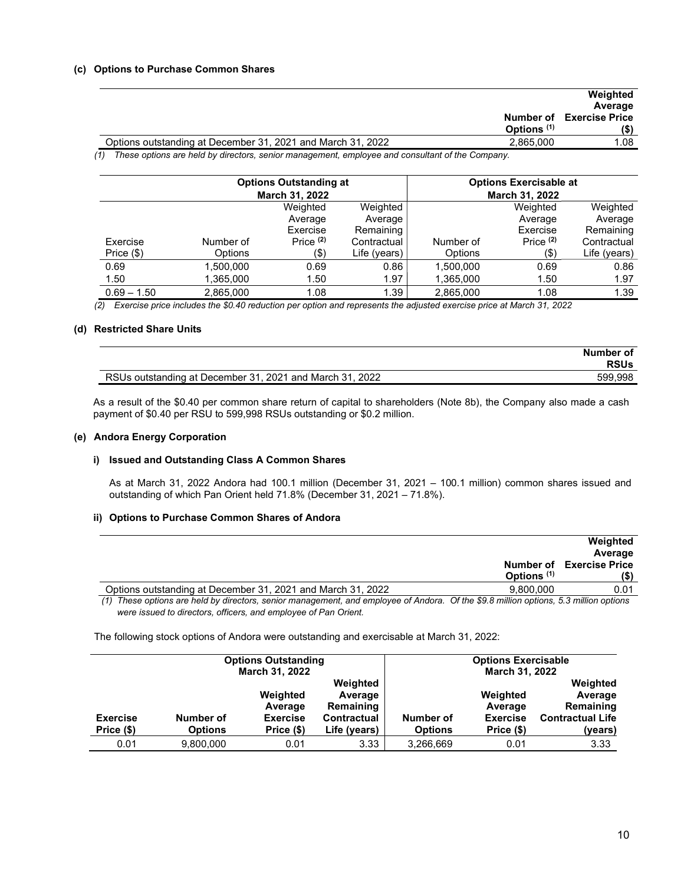## (c) Options to Purchase Common Shares

|                                                                                                       | Weighted<br>Average                     |
|-------------------------------------------------------------------------------------------------------|-----------------------------------------|
| Options <sup>(1)</sup>                                                                                | <b>Number of Exercise Price</b><br>(\$) |
| Options outstanding at December 31, 2021 and March 31, 2022<br>2.865.000                              | 1.08                                    |
| $(1)$ These options are bold by directors, sepier management, ample use and consultant of the Company |                                         |

(1) These options are held by directors, senior management, employee and consultant of the Company.

|               |                | <b>Options Outstanding at</b><br>March 31, 2022 |              |           | <b>Options Exercisable at</b><br><b>March 31, 2022</b> |              |
|---------------|----------------|-------------------------------------------------|--------------|-----------|--------------------------------------------------------|--------------|
|               |                | Weighted                                        | Weighted     |           | Weighted                                               | Weighted     |
|               |                | Average                                         | Average      |           | Average                                                | Average      |
|               |                | Exercise                                        | Remaining    |           | Exercise                                               | Remaining    |
| Exercise      | Number of      | Price $(2)$                                     | Contractual  | Number of | Price $(2)$                                            | Contractual  |
| Price $(\$)$  | <b>Options</b> | $($ \$                                          | Life (years) | Options   | $($ \$                                                 | Life (years) |
| 0.69          | 1,500,000      | 0.69                                            | 0.86         | 1,500,000 | 0.69                                                   | 0.86         |
| 1.50          | 1,365,000      | 1.50                                            | 1.97         | 1,365,000 | 1.50                                                   | 1.97         |
| $0.69 - 1.50$ | 2,865,000      | 1.08                                            | 1.39         | 2,865,000 | 1.08                                                   | 1.39         |

(2) Exercise price includes the \$0.40 reduction per option and represents the adjusted exercise price at March 31, 2022

#### (d) Restricted Share Units

|                                                          | Number of   |
|----------------------------------------------------------|-------------|
|                                                          | <b>RSUs</b> |
| RSUs outstanding at December 31, 2021 and March 31, 2022 | 599.998     |

As a result of the \$0.40 per common share return of capital to shareholders (Note 8b), the Company also made a cash payment of \$0.40 per RSU to 599,998 RSUs outstanding or \$0.2 million.

## (e) Andora Energy Corporation

## i) Issued and Outstanding Class A Common Shares

As at March 31, 2022 Andora had 100.1 million (December 31, 2021 – 100.1 million) common shares issued and outstanding of which Pan Orient held 71.8% (December 31, 2021 – 71.8%).

#### ii) Options to Purchase Common Shares of Andora

|                                                                                                                                       | Options <sup>(1)</sup> | Weighted<br>Average<br><b>Number of Exercise Price</b><br>(\$) |
|---------------------------------------------------------------------------------------------------------------------------------------|------------------------|----------------------------------------------------------------|
| Options outstanding at December 31, 2021 and March 31, 2022                                                                           | 9.800.000              | 0.01                                                           |
| (1) These options are held by directors, senior management, and employee of Andora. Of the \$9.8 million options, 5.3 million options |                        |                                                                |

were issued to directors, officers, and employee of Pan Orient.

The following stock options of Andora were outstanding and exercisable at March 31, 2022:

| <b>Options Outstanding</b><br>March 31, 2022 |                             |                               |                                    | <b>Options Exercisable</b><br>March 31, 2022 |                               |                                    |
|----------------------------------------------|-----------------------------|-------------------------------|------------------------------------|----------------------------------------------|-------------------------------|------------------------------------|
|                                              |                             | Weighted<br>Average           | Weighted<br>Average<br>Remaining   |                                              | Weighted<br>Average           | Weighted<br>Average<br>Remaining   |
| <b>Exercise</b><br>Price (\$)                | Number of<br><b>Options</b> | <b>Exercise</b><br>Price (\$) | <b>Contractual</b><br>Life (years) | Number of<br><b>Options</b>                  | <b>Exercise</b><br>Price (\$) | <b>Contractual Life</b><br>(years) |
| 0.01                                         | 9,800,000                   | 0.01                          | 3.33                               | 3,266,669                                    | 0.01                          | 3.33                               |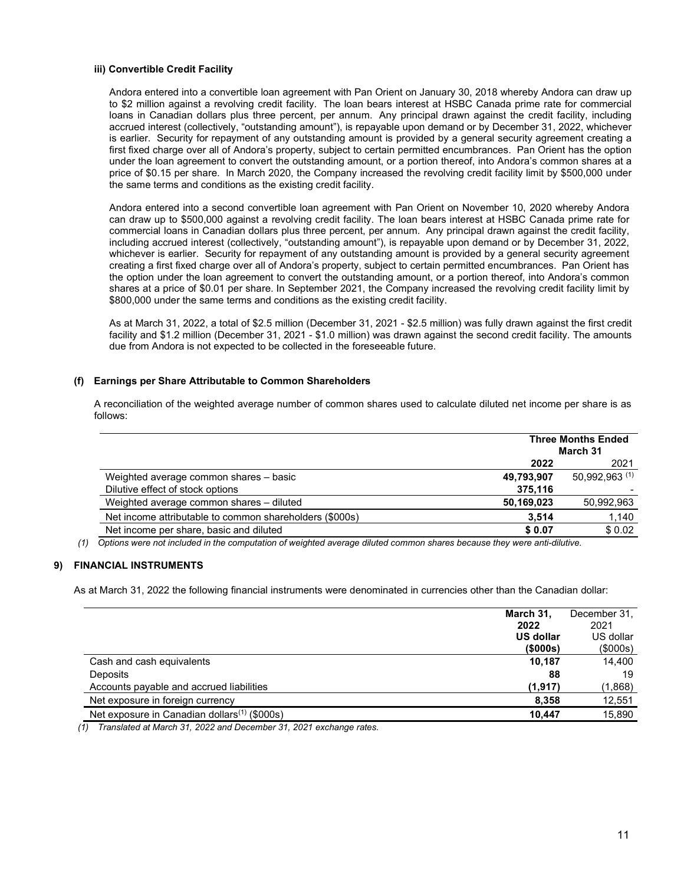#### iii) Convertible Credit Facility

Andora entered into a convertible loan agreement with Pan Orient on January 30, 2018 whereby Andora can draw up to \$2 million against a revolving credit facility. The loan bears interest at HSBC Canada prime rate for commercial loans in Canadian dollars plus three percent, per annum. Any principal drawn against the credit facility, including accrued interest (collectively, "outstanding amount"), is repayable upon demand or by December 31, 2022, whichever is earlier. Security for repayment of any outstanding amount is provided by a general security agreement creating a first fixed charge over all of Andora's property, subject to certain permitted encumbrances. Pan Orient has the option under the loan agreement to convert the outstanding amount, or a portion thereof, into Andora's common shares at a price of \$0.15 per share. In March 2020, the Company increased the revolving credit facility limit by \$500,000 under the same terms and conditions as the existing credit facility.

Andora entered into a second convertible loan agreement with Pan Orient on November 10, 2020 whereby Andora can draw up to \$500,000 against a revolving credit facility. The loan bears interest at HSBC Canada prime rate for commercial loans in Canadian dollars plus three percent, per annum. Any principal drawn against the credit facility, including accrued interest (collectively, "outstanding amount"), is repayable upon demand or by December 31, 2022, whichever is earlier. Security for repayment of any outstanding amount is provided by a general security agreement creating a first fixed charge over all of Andora's property, subject to certain permitted encumbrances. Pan Orient has the option under the loan agreement to convert the outstanding amount, or a portion thereof, into Andora's common shares at a price of \$0.01 per share. In September 2021, the Company increased the revolving credit facility limit by \$800,000 under the same terms and conditions as the existing credit facility.

As at March 31, 2022, a total of \$2.5 million (December 31, 2021 - \$2.5 million) was fully drawn against the first credit facility and \$1.2 million (December 31, 2021 - \$1.0 million) was drawn against the second credit facility. The amounts due from Andora is not expected to be collected in the foreseeable future.

## (f) Earnings per Share Attributable to Common Shareholders

|                                                         | <b>Three Months Ended</b><br>March 31 |                |
|---------------------------------------------------------|---------------------------------------|----------------|
|                                                         | 2022                                  |                |
| Weighted average common shares - basic                  | 49,793,907                            | 50,992,963 (1) |
| Dilutive effect of stock options                        | 375,116                               |                |
| Weighted average common shares - diluted                | 50,169,023                            | 50,992,963     |
| Net income attributable to common shareholders (\$000s) | 3.514                                 | 1,140          |
| Net income per share, basic and diluted                 | \$0.07                                | \$0.02         |

A reconciliation of the weighted average number of common shares used to calculate diluted net income per share is as follows:

(1) Options were not included in the computation of weighted average diluted common shares because they were anti-dilutive.

## 9) FINANCIAL INSTRUMENTS

As at March 31, 2022 the following financial instruments were denominated in currencies other than the Canadian dollar:

|                                                          | March 31,<br>2022 | December 31.<br>2021 |
|----------------------------------------------------------|-------------------|----------------------|
|                                                          | <b>US dollar</b>  | US dollar            |
|                                                          | (\$000s)          | (\$000s)             |
| Cash and cash equivalents                                | 10.187            | 14,400               |
| Deposits                                                 | 88                | 19                   |
| Accounts payable and accrued liabilities                 | (1,917)           | (1,868)              |
| Net exposure in foreign currency                         | 8.358             | 12,551               |
| Net exposure in Canadian dollars <sup>(1)</sup> (\$000s) | 10.447            | 15,890               |

(1) Translated at March 31, 2022 and December 31, 2021 exchange rates.